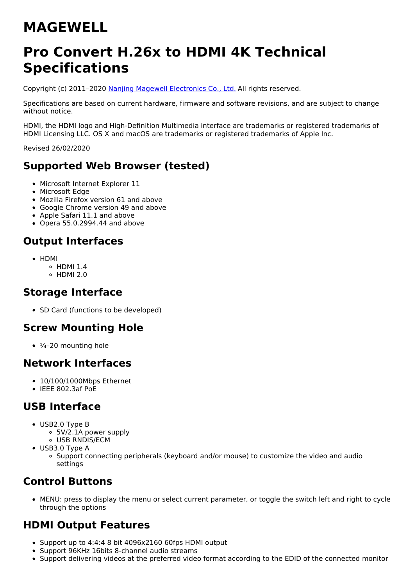# **MAGEWELL**

## **Pro Convert H.26x to HDMI 4K Technical Specifications**

Copyright (c) 2011–2020 Nanjing Magewell [Electronics](http://www.magewell.com) Co., Ltd. All rights reserved.

Specifications are based on current hardware, firmware and software revisions, and are subject to change without notice.

HDMI, the HDMI logo and High-Definition Multimedia interface are trademarks or registered trademarks of HDMI Licensing LLC. OS X and macOS are trademarks or registered trademarks of Apple Inc.

Revised 26/02/2020

## **Supported Web Browser (tested)**

- Microsoft Internet Explorer 11
- Microsoft Edge
- Mozilla Firefox version 61 and above
- Google Chrome version 49 and above
- Apple Safari 11.1 and above
- $\bullet$  Opera 55.0.2994.44 and above

## **Output Interfaces**

- HDMI
	- $\circ$  HDMI 1.4
	- $\circ$  HDMI 2.0

#### **Storage Interface**

• SD Card (functions to be developed)

#### **Screw Mounting Hole**

 $\cdot$   $\frac{1}{4}$ -20 mounting hole

#### **Network Interfaces**

- 10/100/1000Mbps Ethernet
- $\bullet$  IFFF 802.3af PoF

#### **USB Interface**

- USB2.0 Type B
	- 5V/2.1A power supply
	- USB RNDIS/ECM
- USB3.0 Type A
	- Support connecting peripherals (keyboard and/or mouse) to customize the video and audio settings

## **Control Buttons**

MENU: press to display the menu or select current parameter, or toggle the switch left and right to cycle through the options

#### **HDMI Output Features**

- Support up to 4:4:4 8 bit 4096x2160 60fps HDMI output
- Support 96KHz 16bits 8-channel audio streams
- Support delivering videos at the preferred video format according to the EDID of the connected monitor